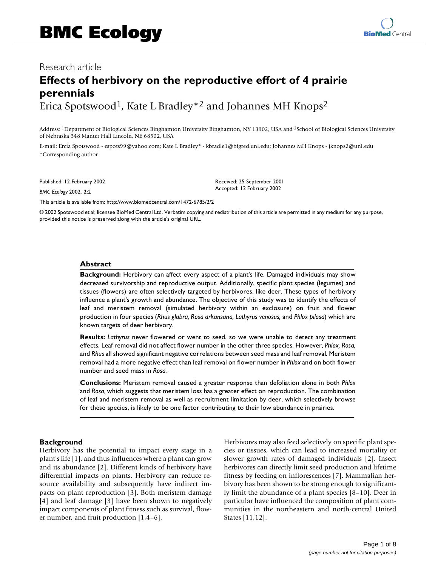# Research article

# **Effects of herbivory on the reproductive effort of 4 prairie perennials** Erica Spotswood<sup>1</sup>, Kate L Bradley<sup>\*2</sup> and Johannes MH Knops<sup>2</sup>

Address: 1Department of Biological Sciences Binghamton University Binghamton, NY 13902, USA and 2School of Biological Sciences University of Nebraska 348 Manter Hall Lincoln, NE 68502, USA

E-mail: Ercia Spotswood - espots99@yahoo.com; Kate L Bradley\* - kbradle1@bigred.unl.edu; Johannes MH Knops - jknops2@unl.edu \*Corresponding author

Published: 12 February 2002

*BMC Ecology* 2002, **2**:2

[This article is available from: http://www.biomedcentral.com/1472-6785/2/2](http://www.biomedcentral.com/1472-6785/2/2)

© 2002 Spotswood et al; licensee BioMed Central Ltd. Verbatim copying and redistribution of this article are permitted in any medium for any purpose, provided this notice is preserved along with the article's original URL.

### **Abstract**

**Background:** Herbivory can affect every aspect of a plant's life. Damaged individuals may show decreased survivorship and reproductive output. Additionally, specific plant species (legumes) and tissues (flowers) are often selectively targeted by herbivores, like deer. These types of herbivory influence a plant's growth and abundance. The objective of this study was to identify the effects of leaf and meristem removal (simulated herbivory within an exclosure) on fruit and flower production in four species (*Rhus glabra, Rosa arkansana, Lathyrus venosus,* and *Phlox pilosa*) which are known targets of deer herbivory.

**Results:** *Lathyrus* never flowered or went to seed, so we were unable to detect any treatment effects. Leaf removal did not affect flower number in the other three species. However, *Phlox, Rosa,* and *Rhus* all showed significant negative correlations between seed mass and leaf removal. Meristem removal had a more negative effect than leaf removal on flower number in *Phlox* and on both flower number and seed mass in *Rosa.*

**Conclusions:** Meristem removal caused a greater response than defoliation alone in both *Phlox* and *Rosa,* which suggests that meristem loss has a greater effect on reproduction. The combination of leaf and meristem removal as well as recruitment limitation by deer, which selectively browse for these species, is likely to be one factor contributing to their low abundance in prairies.

# **Background**

Herbivory has the potential to impact every stage in a plant's life [[1](#page-6-0)], and thus influences where a plant can grow and its abundance [[2](#page-6-1)]. Different kinds of herbivory have differential impacts on plants. Herbivory can reduce resource availability and subsequently have indirect impacts on plant reproduction [\[3](#page-6-2)]. Both meristem damage [[4](#page-6-3)] and leaf damage [[3](#page-6-2)] have been shown to negatively impact components of plant fitness such as survival, flower number, and fruit production [[1](#page-6-0)[,4](#page-6-3)[–6\]](#page-6-4).

Herbivores may also feed selectively on specific plant species or tissues, which can lead to increased mortality or slower growth rates of damaged individuals [[2](#page-6-1)]. Insect herbivores can directly limit seed production and lifetime fitness by feeding on inflorescences [[7](#page-6-5)]. Mammalian herbivory has been shown to be strong enough to significantly limit the abundance of a plant species [\[8](#page-6-6)–[10\]](#page-6-7). Deer in particular have influenced the composition of plant communities in the northeastern and north-central United States [[11](#page-6-8)[,12](#page-6-9)].



Received: 25 September 2001 Accepted: 12 February 2002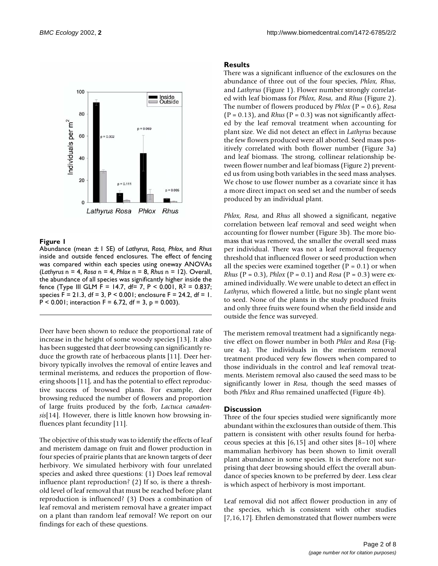

<span id="page-1-0"></span>Abundance (mean ± 1 SE) of *Lathyrus, Rosa, Phlox,* and *Rhus* inside and outside fenced enclosures. The effect of fencing was compared within each species using oneway ANOVAs (*Lathyrus* n = 4, *Rosa* n = 4, *Phlox* n = 8, *Rhus* n = 12). Overall, the abundance of all species was significantly higher inside the fence (Type III GLM F = 14.7, df = 7, P < 0.001, R<sup>2</sup> = 0.837; species F = 21.3, df = 3, P < 0.001; enclosure F = 24.2, df = 1.  $P < 0.001$ ; interaction F = 6.72, df = 3, p = 0.003).

Deer have been shown to reduce the proportional rate of increase in the height of some woody species [[13\]](#page-6-10). It also has been suggested that deer browsing can significantly reduce the growth rate of herbaceous plants [\[11](#page-6-8)]. Deer herbivory typically involves the removal of entire leaves and terminal meristems, and reduces the proportion of flowering shoots [\[11](#page-6-8)], and has the potential to effect reproductive success of browsed plants. For example, deer browsing reduced the number of flowers and proportion of large fruits produced by the forb, *Lactuca canadensis*[[14](#page-6-11)]. However, there is little known how browsing influences plant fecundity [[11\]](#page-6-8).

The objective of this study was to identify the effects of leaf and meristem damage on fruit and flower production in four species of prairie plants that are known targets of deer herbivory. We simulated herbivory with four unrelated species and asked three questions: (1) Does leaf removal influence plant reproduction? (2) If so, is there a threshold level of leaf removal that must be reached before plant reproduction is influenced? (3) Does a combination of leaf removal and meristem removal have a greater impact on a plant than random leaf removal? We report on our findings for each of these questions.

# **Results**

There was a significant influence of the exclosures on the abundance of three out of the four species, *Phlox, Rhus,* and *Lathyrus* (Figure [1](#page-1-0)). Flower number strongly correlated with leaf biomass for *Phlox, Rosa,* and *Rhus* (Figure [2](#page-2-0)). The number of flowers produced by *Phlox* (P = 0.6), *Rosa*  $(P = 0.13)$ , and *Rhus*  $(P = 0.3)$  was not significantly affected by the leaf removal treatment when accounting for plant size. We did not detect an effect in *Lathyrus* because the few flowers produced were all aborted. Seed mass positively correlated with both flower number (Figure [3](#page-3-0)a) and leaf biomass. The strong, collinear relationship between flower number and leaf biomass (Figure [2\)](#page-2-0) prevented us from using both variables in the seed mass analyses. We chose to use flower number as a covariate since it has a more direct impact on seed set and the number of seeds produced by an individual plant.

*Phlox, Rosa,* and *Rhus* all showed a significant, negative correlation between leaf removal and seed weight when accounting for flower number (Figure [3b](#page-3-0)). The more biomass that was removed, the smaller the overall seed mass per individual. There was not a leaf removal frequency threshold that influenced flower or seed production when all the species were examined together  $(P = 0.1)$  or when *Rhus* (P = 0.3), *Phlox* (P = 0.1) and *Rosa* (P = 0.3) were examined individually. We were unable to detect an effect in *Lathyrus,* which flowered a little, but no single plant went to seed. None of the plants in the study produced fruits and only three fruits were found when the field inside and outside the fence was surveyed.

The meristem removal treatment had a significantly negative effect on flower number in both *Phlox* and *Rosa* (Figure [4a](#page-4-0)). The individuals in the meristem removal treatment produced very few flowers when compared to those individuals in the control and leaf removal treatments. Meristem removal also caused the seed mass to be significantly lower in *Rosa,* though the seed masses of both *Phlox* and *Rhus* remained unaffected (Figure [4](#page-4-0)b).

# **Discussion**

Three of the four species studied were significantly more abundant within the exclosures than outside of them. This pattern is consistent with other results found for herbaceous species at this [\[6](#page-6-4)[,15](#page-7-0)] and other sites [\[8](#page-6-6)[–10\]](#page-6-7) where mammalian herbivory has been shown to limit overall plant abundance in some species. It is therefore not surprising that deer browsing should effect the overall abundance of species known to be preferred by deer. Less clear is which aspect of herbivory is most important.

Leaf removal did not affect flower production in any of the species, which is consistent with other studies [[7](#page-6-5)[,16](#page-7-1),[17\]](#page-7-2). Ehrlen demonstrated that flower numbers were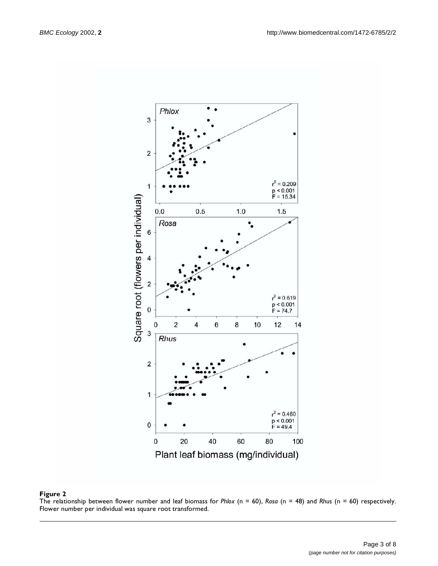

<span id="page-2-0"></span>The relationship between flower number and leaf biomass for *Phlox* (n = 60), *Rosa* (n = 48) and *Rhus* (n = 60) respectively. Flower number per individual was square root transformed.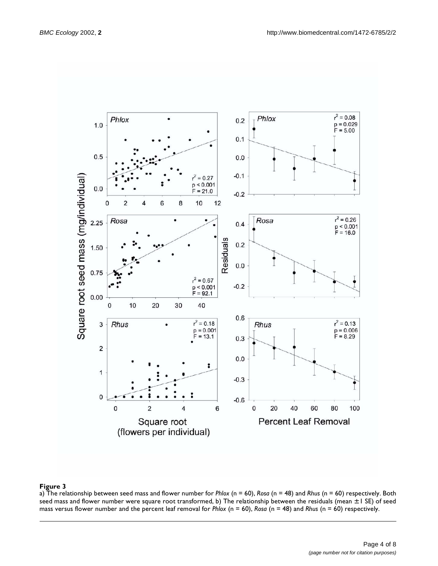

<span id="page-3-0"></span>a) The relationship between seed mass and flower number for *Phlox* (n = 60), *Rosa* (n = 48) and *Rhus* (n = 60) respectively. Both seed mass and flower number were square root transformed, b) The relationship between the residuals (mean  $\pm$  1 SE) of seed mass versus flower number and the percent leaf removal for *Phlox* (n = 60), *Rosa* (n = 48) and *Rhus* (n = 60) respectively.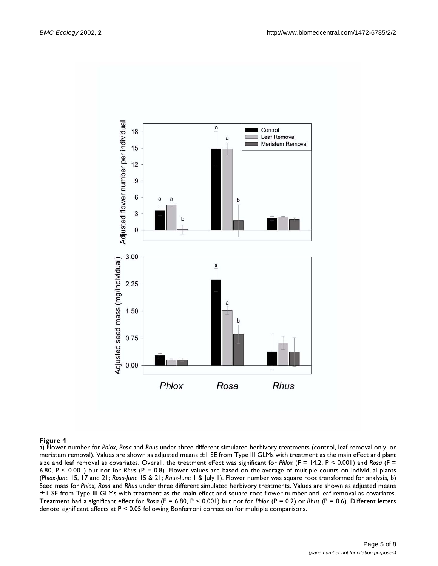

<span id="page-4-0"></span>a) Flower number for *Phlox, Rosa* and *Rhus* under three different simulated herbivory treatments (control, leaf removal only, or meristem removal). Values are shown as adjusted means ± 1 SE from Type III GLMs with treatment as the main effect and plant size and leaf removal as covariates. Overall, the treatment effect was significant for *Phlox* (F = 14.2, P < 0.001) and *Rosa* (F = 6.80, P < 0.001) but not for *Rhus* (P = 0.8). Flower values are based on the average of multiple counts on individual plants (*Phlox-June* 15, 17 and 21; *Rosa-June* 15 & 21; *Rhus-June* 1 & July 1). Flower number was square root transformed for analysis, b) Seed mass for *Phlox, Rosa* and *Rhus* under three different simulated herbivory treatments. Values are shown as adjusted means  $\pm$  1 SE from Type III GLMs with treatment as the main effect and square root flower number and leaf removal as covariates. Treatment had a significant effect for *Rosa* (F = 6.80, P < 0.001) but not for *Phlox* (P = 0.2) or *Rhus* (P = 0.6). Different letters denote significant effects at P < 0.05 following Bonferroni correction for multiple comparisons.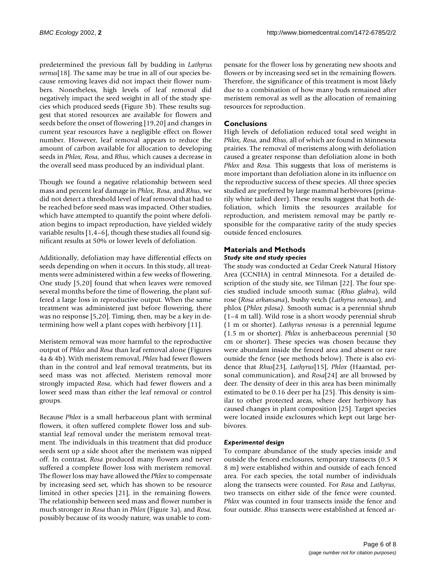predetermined the previous fall by budding in *Lathyrus vernus*[[18](#page-7-3)]. The same may be true in all of our species because removing leaves did not impact their flower numbers. Nonetheless, high levels of leaf removal did negatively impact the seed weight in all of the study species which produced seeds (Figure [3b](#page-3-0)). These results suggest that stored resources are available for flowers and seeds before the onset of flowering [\[19](#page-7-4),[20](#page-7-5)] and changes in current year resources have a negligible effect on flower number. However, leaf removal appears to reduce the amount of carbon available for allocation to developing seeds in *Phlox, Rosa,* and *Rhus,* which causes a decrease in the overall seed mass produced by an individual plant.

Though we found a negative relationship between seed mass and percent leaf damage in *Phlox, Rosa,* and *Rhus,* we did not detect a threshold level of leaf removal that had to be reached before seed mass was impacted. Other studies, which have attempted to quantify the point where defoliation begins to impact reproduction, have yielded widely variable results [[1](#page-6-0),[4](#page-6-3)–[6](#page-6-4)], though these studies all found significant results at 50% or lower levels of defoliation.

Additionally, defoliation may have differential effects on seeds depending on when it occurs. In this study, all treatments were administered within a few weeks of flowering. One study [\[5](#page-6-12)[,20](#page-7-5)] found that when leaves were removed several months before the time of flowering, the plant suffered a large loss in reproductive output. When the same treatment was administered just before flowering, there was no response [[5](#page-6-12),[20](#page-7-5)]. Timing, then, may be a key in determining how well a plant copes with herbivory [\[11](#page-6-8)].

Meristem removal was more harmful to the reproductive output of *Phlox* and *Rosa* than leaf removal alone (Figures [4](#page-4-0)a & [4b](#page-4-0)). With meristem removal, *Phlox* had fewer flowers than in the control and leaf removal treatments, but its seed mass was not affected. Meristem removal more strongly impacted *Rosa,* which had fewer flowers and a lower seed mass than either the leaf removal or control groups.

Because *Phlox* is a small herbaceous plant with terminal flowers, it often suffered complete flower loss and substantial leaf removal under the meristem removal treatment. The individuals in this treatment that did produce seeds sent up a side shoot after the meristem was nipped off. In contrast, *Rosa* produced many flowers and never suffered a complete flower loss with meristem removal. The flower loss may have allowed the *Phlox* to compensate by increasing seed set, which has shown to be resource limited in other species [\[21](#page-7-6)], in the remaining flowers. The relationship between seed mass and flower number is much stronger in *Rosa* than in *Phlox* (Figure [3](#page-3-0)a), and *Rosa,* possibly because of its woody nature, was unable to com-

pensate for the flower loss by generating new shoots and flowers or by increasing seed set in the remaining flowers. Therefore, the significance of this treatment is most likely due to a combination of how many buds remained after meristem removal as well as the allocation of remaining resources for reproduction.

# **Conclusions**

High levels of defoliation reduced total seed weight in *Phlox, Rosa,* and *Rhus,* all of which are found in Minnesota prairies. The removal of meristems along with defoliation caused a greater response than defoliation alone in both *Phlox* and *Rosa.* This suggests that loss of meristems is more important than defoliation alone in its influence on the reproductive success of these species. All three species studied are preferred by large mammal herbivores (primarily white tailed deer). These results suggest that both defoliation, which limits the resources available for reproduction, and meristem removal may be partly responsible for the comparative rarity of the study species outside fenced enclosures.

# **Materials and Methods** *Study site and study species*

The study was conducted at Cedar Creek Natural History Area (CCNHA) in central Minnesota. For a detailed description of the study site, see Tilman [\[22](#page-7-7)]. The four species studied include smooth sumac (*Rhus glabra*), wild rose (*Rosa arkansana*), bushy vetch (*Lathyrus venosus*), and phlox (*Phlox pilosa).* Smooth sumac is a perennial shrub (1–4 m tall). Wild rose is a short woody perennial shrub (1 m or shorter). *Lathyrus venosus* is a perennial legume (1.5 m or shorter). *Phlox* is anherbaceous perennial (30 cm or shorter). These species was chosen because they were abundant inside the fenced area and absent or rare outside the fence (see methods below). There is also evidence that *Rhus*[[23\]](#page-7-8), *Lathyrus*[[15\]](#page-7-0), *Phlox* (Haarstad, personal communication), and *Rosa*[\[24](#page-7-9)] are all browsed by deer. The density of deer in this area has been minimally estimated to be 0.16 deer per ha [\[25](#page-7-10)]. This density is similar to other protected areas, where deer herbivory has caused changes in plant composition [[25](#page-7-10)]. Target species were located inside exclosures which kept out large herbivores.

# *Experimental design*

To compare abundance of the study species inside and outside the fenced enclosures, temporary transects (0.5  $\times$ 8 m) were established within and outside of each fenced area. For each species, the total number of individuals along the transects were counted. For *Rosa* and *Lathyrus,* two transects on either side of the fence were counted. *Phlox* was counted in four transects inside the fence and four outside. *Rhus* transects were established at fenced ar-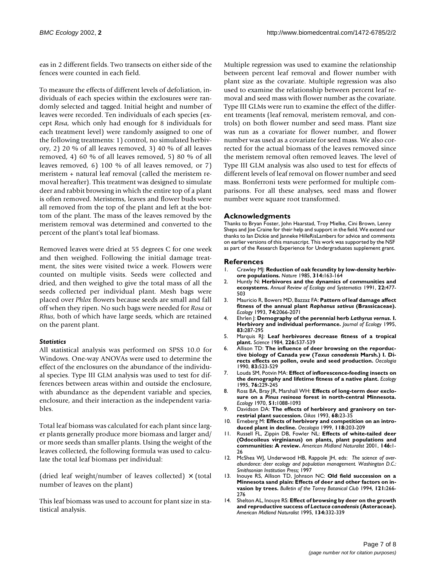eas in 2 different fields. Two transects on either side of the fences were counted in each field.

To measure the effects of different levels of defoliation, individuals of each species within the exclosures were randomly selected and tagged. Initial height and number of leaves were recorded. Ten individuals of each species (except *Rosa,* which only had enough for 8 individuals for each treatment level) were randomly assigned to one of the following treatments: 1) control, no simulated herbivory, 2) 20 % of all leaves removed, 3) 40 % of all leaves removed, 4) 60 % of all leaves removed, 5) 80 % of all leaves removed, 6) 100 % of all leaves removed, or 7) meristem + natural leaf removal (called the meristem removal hereafter). This treatment was designed to simulate deer and rabbit browsing in which the entire top of a plant is often removed. Meristems, leaves and flower buds were all removed from the top of the plant and left at the bottom of the plant. The mass of the leaves removed by the meristem removal was determined and converted to the percent of the plant's total leaf biomass.

Removed leaves were dried at 55 degrees C for one week and then weighed. Following the initial damage treatment, the sites were visited twice a week. Flowers were counted on multiple visits. Seeds were collected and dried, and then weighed to give the total mass of all the seeds collected per individual plant. Mesh bags were placed over *Phlox* flowers because seeds are small and fall off when they ripen. No such bags were needed for *Rosa* or *Rhus,* both of which have large seeds, which are retained on the parent plant.

# *Statistics*

All statistical analysis was performed on SPSS 10.0 for Windows. One-way ANOVAs were used to determine the effect of the enclosures on the abundance of the individual species. Type III GLM analysis was used to test for differences between areas within and outside the enclosure, with abundance as the dependent variable and species, enclosure, and their interaction as the independent variables.

Total leaf biomass was calculated for each plant since larger plants generally produce more biomass and larger and/ or more seeds than smaller plants. Using the weight of the leaves collected, the following formula was used to calculate the total leaf biomass per individual:

(dried leaf weight/number of leaves collected)  $\times$  (total number of leaves on the plant)

This leaf biomass was used to account for plant size in statistical analysis.

Multiple regression was used to examine the relationship between percent leaf removal and flower number with plant size as the covariate. Multiple regression was also used to examine the relationship between percent leaf removal and seed mass with flower number as the covariate. Type III GLMs were run to examine the effect of the different treaments (leaf removal, meristem removal, and controls) on both flower number and seed mass. Plant size was run as a covariate for flower number, and flower number was used as a covariate for seed mass. We also corrected for the actual biomass of the leaves removed since the meristem removal often removed leaves. The level of Type III GLM analysis was also used to test for effects of different levels of leaf removal on flower number and seed mass. Bonferroni tests were performed for multiple comparisons. For all these analyses, seed mass and flower number were square root transformed.

# **Acknowledgments**

Thanks to Bryan Foster, John Haarstad, Troy Mielke, Cini Brown, Lenny Sheps and Joe Craine for their help and support in the field. We extend our thanks to Ian Dickie and Janneke HilleRisLambers for advice and comments on earlier versions of this manuscript. This work was supported by the NSF as part of the Research Experience for Undergraduates supplement grant.

# **References**

- <span id="page-6-0"></span>1. Crawley MJ: **Reduction of oak fecundity by low-density herbivore populations.** *Nature* 1985, **314:**163-164
- <span id="page-6-1"></span>2. Huntly N: **Herbivores and the dynamics of communities and ecosystems.** *Annual Review of Ecology and Systematics* 1991, **22:**477- 503
- <span id="page-6-2"></span>3. Mauricio R, Bowers MD, Bazzaz FA: **Pattern of leaf damage affect fitness of the annual plant** *Raphanus sativus* **(Brassicaceae).** *Ecology* 1993, **74:**2066-2071
- <span id="page-6-3"></span>4. Ehrlen J: **Demography of the perennial herb** *Lathyrus vernus.* **I. Herbivory and individual performance.** *Journal of Ecology* 1995, **83:**287-295
- <span id="page-6-12"></span>5. Marquis RJ: **Leaf herbivores decrease fitness of a tropical plant.** *Science* 1984, **226:**537-539
- <span id="page-6-4"></span>6. Allison TD: **The influence of deer browsing on the reporductive biology of Canada yew (***Taxus canadensis* **Marsh.) I. Directs effects on pollen, ovule and seed production.** *Oecologia* 1990, **83:**523-529
- <span id="page-6-5"></span>7. Louda SM, Potvin MA: **Effect of inflorescence-feeding insects on the demography and lifetime fitness of a native plant.** *Ecology* 1995, **76:**229-245
- <span id="page-6-6"></span>8. Ross BA, Bray JR, Marshall WH: **Effects of long-term deer exclosure on a** *Pinus resinosa* **forest in north-central Minnesota.** *Ecology* 1970, **51:**1088-1093
- 9. Davidson DA: The effects of herbivory and granivory on ter**restrial plant succession.** *Oikos* 1993, **68:**23-35
- <span id="page-6-7"></span>10. Erneberg M: **Effects of herbivory and competition on an introduced plant in decline.** *Oecologia* 1999, **118:**203-209
- <span id="page-6-8"></span>11. Russell FL, Zippin DB, Fowler NL: **Effects of white-tailed deer (Odocoileus virginianus) on plants, plant populations and communities: A review.** *American Midland Naturalist* 2001, **146:**1- 26
- <span id="page-6-9"></span>12. McShea WJ, Underwood HB, Rappole JH, eds: *The science of overabundance: deer ecology and population management. Washington D.C.: Smithsonian Institution Press;* 1997
- <span id="page-6-10"></span>13. Inouye RS, Allison TD, Johnson NC: **Old field succession on a Minnesota sand plain: Effects of deer and other factors on invasion by trees.** *Bulletin of the Torrey Botanical Club* 1994, **121:**266- 276
- <span id="page-6-11"></span>14. Shelton AL, Inouye RS: **Effect of browsing by deer on the growth and reproductive success of** *Lactuca canadensis* **(Asteraceae).** *American Midland Naturalist* 1995, **134:**332-339